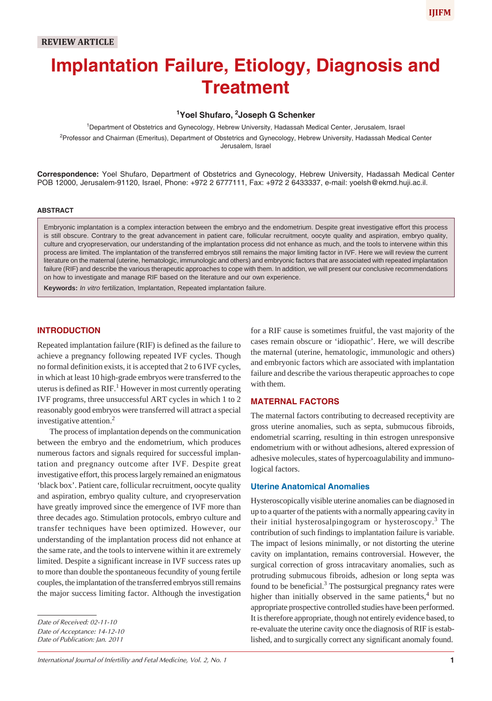# **Implantation Failure, Etiology, Diagnosis and Treatment**

# **1 Yoel Shufaro, 2 Joseph G Schenker**

1 Department of Obstetrics and Gynecology, Hebrew University, Hadassah Medical Center, Jerusalem, Israel <sup>2</sup>Professor and Chairman (Emeritus), Department of Obstetrics and Gynecology, Hebrew University, Hadassah Medical Center Jerusalem, Israel

**Correspondence:** Yoel Shufaro, Department of Obstetrics and Gynecology, Hebrew University, Hadassah Medical Center POB 12000, Jerusalem-91120, Israel, Phone: +972 2 6777111, Fax: +972 2 6433337, e-mail: yoelsh@ekmd.huji.ac.il.

#### **ABSTRACT**

Embryonic implantation is a complex interaction between the embryo and the endometrium. Despite great investigative effort this process is still obscure. Contrary to the great advancement in patient care, follicular recruitment, oocyte quality and aspiration, embryo quality, culture and cryopreservation, our understanding of the implantation process did not enhance as much, and the tools to intervene within this process are limited. The implantation of the transferred embryos still remains the major limiting factor in IVF. Here we will review the current literature on the maternal (uterine, hematologic, immunologic and others) and embryonic factors that are associated with repeated implantation failure (RIF) and describe the various therapeutic approaches to cope with them. In addition, we will present our conclusive recommendations on how to investigate and manage RIF based on the literature and our own experience.

**Keywords:** *In vitro* fertilization, Implantation, Repeated implantation failure.

# **INTRODUCTION**

Repeated implantation failure (RIF) is defined as the failure to achieve a pregnancy following repeated IVF cycles. Though no formal definition exists, it is accepted that 2 to 6 IVF cycles, in which at least 10 high-grade embryos were transferred to the uterus is defined as  $RIF.$ <sup>1</sup> However in most currently operating IVF programs, three unsuccessful ART cycles in which 1 to 2 reasonably good embryos were transferred will attract a special investigative attention.2

The process of implantation depends on the communication between the embryo and the endometrium, which produces numerous factors and signals required for successful implantation and pregnancy outcome after IVF. Despite great investigative effort, this process largely remained an enigmatous 'black box'. Patient care, follicular recruitment, oocyte quality and aspiration, embryo quality culture, and cryopreservation have greatly improved since the emergence of IVF more than three decades ago. Stimulation protocols, embryo culture and transfer techniques have been optimized. However, our understanding of the implantation process did not enhance at the same rate, and the tools to intervene within it are extremely limited. Despite a significant increase in IVF success rates up to more than double the spontaneous fecundity of young fertile couples, the implantation of the transferred embryos still remains the major success limiting factor. Although the investigation

*Date of Publication: Jan. 2011*

for a RIF cause is sometimes fruitful, the vast majority of the cases remain obscure or 'idiopathic'. Here, we will describe the maternal (uterine, hematologic, immunologic and others) and embryonic factors which are associated with implantation failure and describe the various therapeutic approaches to cope with them.

#### **MATERNAL FACTORS**

The maternal factors contributing to decreased receptivity are gross uterine anomalies, such as septa, submucous fibroids, endometrial scarring, resulting in thin estrogen unresponsive endometrium with or without adhesions, altered expression of adhesive molecules, states of hypercoagulability and immunological factors.

## **Uterine Anatomical Anomalies**

Hysteroscopically visible uterine anomalies can be diagnosed in up to a quarter of the patients with a normally appearing cavity in their initial hysterosalpingogram or hysteroscopy.<sup>3</sup> The contribution of such findings to implantation failure is variable. The impact of lesions minimally, or not distorting the uterine cavity on implantation, remains controversial. However, the surgical correction of gross intracavitary anomalies, such as protruding submucous fibroids, adhesion or long septa was found to be beneficial.<sup>3</sup> The postsurgical pregnancy rates were higher than initially observed in the same patients, $4$  but no appropriate prospective controlled studies have been performed. It is therefore appropriate, though not entirely evidence based, to re-evaluate the uterine cavity once the diagnosis of RIF is established, and to surgically correct any significant anomaly found.

*Date of Received: 02-11-10*

*Date of Acceptance: 14-12-10*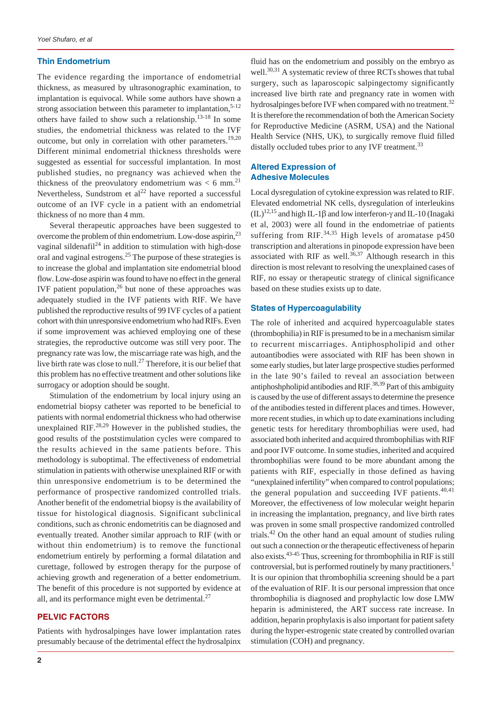## **Thin Endometrium**

The evidence regarding the importance of endometrial thickness, as measured by ultrasonographic examination, to implantation is equivocal. While some authors have shown a strong association between this parameter to implantation, $5-12$ others have failed to show such a relationship.13-18 In some studies, the endometrial thickness was related to the IVF outcome, but only in correlation with other parameters.<sup>19,20</sup> Different minimal endometrial thickness thresholds were suggested as essential for successful implantation. In most published studies, no pregnancy was achieved when the thickness of the preovulatory endometrium was  $< 6$  mm.<sup>21</sup> Nevertheless, Sundstrom et  $al^{22}$  have reported a successful outcome of an IVF cycle in a patient with an endometrial thickness of no more than 4 mm.

Several therapeutic approaches have been suggested to overcome the problem of thin endometrium. Low-dose aspirin,<sup>23</sup> vaginal sildenafil $^{24}$  in addition to stimulation with high-dose oral and vaginal estrogens.25 The purpose of these strategies is to increase the global and implantation site endometrial blood flow. Low-dose aspirin was found to have no effect in the general IVF patient population, $^{26}$  but none of these approaches was adequately studied in the IVF patients with RIF. We have published the reproductive results of 99 IVF cycles of a patient cohort with thin unresponsive endometrium who had RIFs. Even if some improvement was achieved employing one of these strategies, the reproductive outcome was still very poor. The pregnancy rate was low, the miscarriage rate was high, and the live birth rate was close to null.<sup>27</sup> Therefore, it is our belief that this problem has no effective treatment and other solutions like surrogacy or adoption should be sought.

Stimulation of the endometrium by local injury using an endometrial biopsy catheter was reported to be beneficial to patients with normal endometrial thickness who had otherwise unexplained  $RIF^{28,29}$  However in the published studies, the good results of the poststimulation cycles were compared to the results achieved in the same patients before. This methodology is suboptimal. The effectiveness of endometrial stimulation in patients with otherwise unexplained RIF or with thin unresponsive endometrium is to be determined the performance of prospective randomized controlled trials. Another benefit of the endometrial biopsy is the availability of tissue for histological diagnosis. Significant subclinical conditions, such as chronic endometritis can be diagnosed and eventually treated. Another similar approach to RIF (with or without thin endometrium) is to remove the functional endometrium entirely by performing a formal dilatation and curettage, followed by estrogen therapy for the purpose of achieving growth and regeneration of a better endometrium. The benefit of this procedure is not supported by evidence at all, and its performance might even be detrimental. $27$ 

## **PELVIC FACTORS**

Patients with hydrosalpinges have lower implantation rates presumably because of the detrimental effect the hydrosalpinx fluid has on the endometrium and possibly on the embryo as well.<sup>30,31</sup> A systematic review of three RCTs showes that tubal surgery, such as laparoscopic salpingectomy significantly increased live birth rate and pregnancy rate in women with hydrosalpinges before IVF when compared with no treatment.<sup>32</sup> It is therefore the recommendation of both the American Society for Reproductive Medicine (ASRM, USA) and the National Health Service (NHS, UK), to surgically remove fluid filled distally occluded tubes prior to any IVF treatment.<sup>33</sup>

# **Altered Expression of Adhesive Molecules**

Local dysregulation of cytokine expression was related to RIF. Elevated endometrial NK cells, dysregulation of interleukins  $(IL)^{12,15}$  and high IL-1 $\beta$  and low interferon-γ and IL-10 (Inagaki et al, 2003) were all found in the endometriae of patients suffering from RIF.<sup>34,35</sup> High levels of aromatase  $p450$ transcription and alterations in pinopode expression have been associated with RIF as well.<sup>36,37</sup> Although research in this direction is most relevant to resolving the unexplained cases of RIF, no essay or therapeutic strategy of clinical significance based on these studies exists up to date.

## **States of Hypercoagulability**

The role of inherited and acquired hypercoagulable states (thrombophilia) in RIF is presumed to be in a mechanism similar to recurrent miscarriages. Antiphospholipid and other autoantibodies were associated with RIF has been shown in some early studies, but later large prospective studies performed in the late 90's failed to reveal an association between antiphoshpholipid antibodies and RIF.<sup>38,39</sup> Part of this ambiguity is caused by the use of different assays to determine the presence of the antibodies tested in different places and times. However, more recent studies, in which up to date examinations including genetic tests for hereditary thrombophilias were used, had associated both inherited and acquired thrombophilias with RIF and poor IVF outcome. In some studies, inherited and acquired thrombophilias were found to be more abundant among the patients with RIF, especially in those defined as having "unexplained infertility" when compared to control populations; the general population and succeeding IVF patients. $40,41$ Moreover, the effectiveness of low molecular weight heparin in increasing the implantation, pregnancy, and live birth rates was proven in some small prospective randomized controlled trials. $42$  On the other hand an equal amount of studies ruling out such a connection or the therapeutic effectiveness of heparin also exists.43-45 Thus, screening for thrombophilia in RIF is still controversial, but is performed routinely by many practitioners.<sup>1</sup> It is our opinion that thrombophilia screening should be a part of the evaluation of RIF. It is our personal impression that once thrombophilia is diagnosed and prophylactic low dose LMW heparin is administered, the ART success rate increase. In addition, heparin prophylaxis is also important for patient safety during the hyper-estrogenic state created by controlled ovarian stimulation (COH) and pregnancy.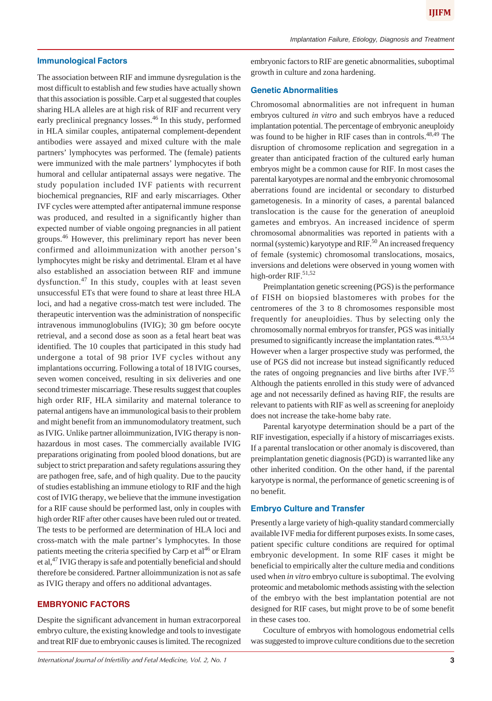## **Immunological Factors**

The association between RIF and immune dysregulation is the most difficult to establish and few studies have actually shown that this association is possible. Carp et al suggested that couples sharing HLA alleles are at high risk of RIF and recurrent very early preclinical pregnancy losses.<sup>46</sup> In this study, performed in HLA similar couples, antipaternal complement-dependent antibodies were assayed and mixed culture with the male partners' lymphocytes was performed. The (female) patients were immunized with the male partners' lymphocytes if both humoral and cellular antipaternal assays were negative. The study population included IVF patients with recurrent biochemical pregnancies, RIF and early miscarriages. Other IVF cycles were attempted after antipaternal immune response was produced, and resulted in a significantly higher than expected number of viable ongoing pregnancies in all patient groups.<sup>46</sup> However, this preliminary report has never been confirmed and alloimmunization with another person's lymphocytes might be risky and detrimental. Elram et al have also established an association between RIF and immune dysfunction.47 In this study, couples with at least seven unsuccessful ETs that were found to share at least three HLA loci, and had a negative cross-match test were included. The therapeutic intervention was the administration of nonspecific intravenous immunoglobulins (IVIG); 30 gm before oocyte retrieval, and a second dose as soon as a fetal heart beat was identified. The 10 couples that participated in this study had undergone a total of 98 prior IVF cycles without any implantations occurring. Following a total of 18 IVIG courses, seven women conceived, resulting in six deliveries and one second trimester miscarriage. These results suggest that couples high order RIF, HLA similarity and maternal tolerance to paternal antigens have an immunological basis to their problem and might benefit from an immunomodulatory treatment, such as IVIG. Unlike partner alloimmunization, IVIG therapy is nonhazardous in most cases. The commercially available IVIG preparations originating from pooled blood donations, but are subject to strict preparation and safety regulations assuring they are pathogen free, safe, and of high quality. Due to the paucity of studies establishing an immune etiology to RIF and the high cost of IVIG therapy, we believe that the immune investigation for a RIF cause should be performed last, only in couples with high order RIF after other causes have been ruled out or treated. The tests to be performed are determination of HLA loci and cross-match with the male partner's lymphocytes. In those patients meeting the criteria specified by Carp et  $al^{46}$  or Elram et al,<sup>47</sup> IVIG therapy is safe and potentially beneficial and should therefore be considered. Partner alloimmunization is not as safe as IVIG therapy and offers no additional advantages.

# **EMBRYONIC FACTORS**

Despite the significant advancement in human extracorporeal embryo culture, the existing knowledge and tools to investigate and treat RIF due to embryonic causes is limited. The recognized

*International Journal of Infertility and Fetal Medicine, Vol. 2, No. 1* **3**

embryonic factors to RIF are genetic abnormalities, suboptimal growth in culture and zona hardening.

#### **Genetic Abnormalities**

Chromosomal abnormalities are not infrequent in human embryos cultured *in vitro* and such embryos have a reduced implantation potential. The percentage of embryonic aneuploidy was found to be higher in RIF cases than in controls.<sup>48,49</sup> The disruption of chromosome replication and segregation in a greater than anticipated fraction of the cultured early human embryos might be a common cause for RIF. In most cases the parental karyotypes are normal and the embryonic chromosomal aberrations found are incidental or secondary to disturbed gametogenesis. In a minority of cases, a parental balanced translocation is the cause for the generation of aneuploid gametes and embryos. An increased incidence of sperm chromosomal abnormalities was reported in patients with a normal (systemic) karyotype and RIF.<sup>50</sup> An increased frequency of female (systemic) chromosomal translocations, mosaics, inversions and deletions were observed in young women with high-order RIF.<sup>51,52</sup>

Preimplantation genetic screening (PGS) is the performance of FISH on biopsied blastomeres with probes for the centromeres of the 3 to 8 chromosomes responsible most frequently for aneuploidies. Thus by selecting only the chromosomally normal embryos for transfer, PGS was initially presumed to significantly increase the implantation rates.<sup>48,53,54</sup> However when a larger prospective study was performed, the use of PGS did not increase but instead significantly reduced the rates of ongoing pregnancies and live births after IVF.<sup>55</sup> Although the patients enrolled in this study were of advanced age and not necessarily defined as having RIF, the results are relevant to patients with RIF as well as screening for aneploidy does not increase the take-home baby rate.

Parental karyotype determination should be a part of the RIF investigation, especially if a history of miscarriages exists. If a parental translocation or other anomaly is discovered, than preimplantation genetic diagnosis (PGD) is warranted like any other inherited condition. On the other hand, if the parental karyotype is normal, the performance of genetic screening is of no benefit.

#### **Embryo Culture and Transfer**

Presently a large variety of high-quality standard commercially available IVF media for different purposes exists. In some cases, patient specific culture conditions are required for optimal embryonic development. In some RIF cases it might be beneficial to empirically alter the culture media and conditions used when *in vitro* embryo culture is suboptimal. The evolving proteomic and metabolomic methods assisting with the selection of the embryo with the best implantation potential are not designed for RIF cases, but might prove to be of some benefit in these cases too.

Coculture of embryos with homologous endometrial cells was suggested to improve culture conditions due to the secretion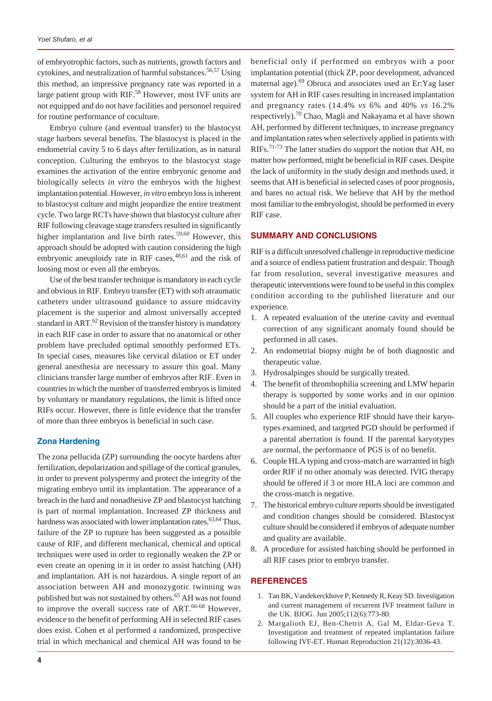of embryotrophic factors, such as nutrients, growth factors and cytokines, and neutralization of harmful substances.<sup>56,57</sup> Using this method, an impressive pregnancy rate was reported in a large patient group with RIF.<sup>58</sup> However, most IVF units are not equipped and do not have facilities and personnel required for routine performance of coculture.

Embryo culture (and eventual transfer) to the blastocyst stage harbors several benefits. The blastocyst is placed in the endometrial cavity 5 to 6 days after fertilization, as in natural conception. Culturing the embryos to the blastocyst stage examines the activation of the entire embryonic genome and biologically selects *in vitro* the embryos with the highest implantation potential. However, *in vitro* embryo loss is inherent to blastocyst culture and might jeopardize the entire treatment cycle. Two large RCTs have shown that blastocyst culture after RIF following cleavage stage transfers resulted in significantly higher implantation and live birth rates.<sup>59,60</sup> However, this approach should be adopted with caution considering the high embryonic aneuploidy rate in RIF cases,  $48,61$  and the risk of loosing most or even all the embryos.

Use of the best transfer technique is mandatory in each cycle and obvious in RIF. Embryo transfer (ET) with soft atraumatic catheters under ultrasound guidance to assure midcavity placement is the superior and almost universally accepted standard in ART.<sup>62</sup> Revision of the transfer history is mandatory in each RIF case in order to assure that no anatomical or other problem have precluded optimal smoothly performed ETs. In special cases, measures like cervical dilation or ET under general anesthesia are necessary to assure this goal. Many clinicians transfer large number of embryos after RIF. Even in countries in which the number of transferred embryos is limited by voluntary or mandatory regulations, the limit is lifted once RIFs occur. However, there is little evidence that the transfer of more than three embryos is beneficial in such case.

# **Zona Hardening**

The zona pellucida (ZP) surrounding the oocyte hardens after fertilization, depolarization and spillage of the cortical granules, in order to prevent polyspermy and protect the integrity of the migrating embryo until its implantation. The appearance of a breach in the hard and nonadhesive ZP and blastocyst hatching is part of normal implantation. Increased ZP thickness and hardness was associated with lower implantation rates.<sup>63,64</sup> Thus, failure of the ZP to rupture has been suggested as a possible cause of RIF, and different mechanical, chemical and optical techniques were used in order to regionally weaken the ZP or even create an opening in it in order to assist hatching (AH) and implantation. AH is not hazardous. A single report of an association between AH and monozygotic twinning was published but was not sustained by others.<sup>65</sup> AH was not found to improve the overall success rate of ART.<sup>66-68</sup> However, evidence to the benefit of performing AH in selected RIF cases does exist. Cohen et al performed a randomized, prospective trial in which mechanical and chemical AH was found to be

beneficial only if performed on embryos with a poor implantation potential (thick ZP, poor development, advanced maternal age).<sup>69</sup> Obruca and associates used an Er: Yag laser system for AH in RIF cases resulting in increased implantation and pregnancy rates (14.4% *vs* 6% and 40% *vs* 16.2% respectively).<sup>70</sup> Chao, Magli and Nakayama et al have shown AH, performed by different techniques, to increase pregnancy and implantation rates when selectively applied in patients with RIFs.<sup>71-73</sup> The latter studies do support the notion that AH, no matter how performed, might be beneficial in RIF cases. Despite the lack of uniformity in the study design and methods used, it seems that AH is beneficial in selected cases of poor prognosis, and bares no actual risk. We believe that AH by the method most familiar to the embryologist, should be performed in every RIF case.

#### **SUMMARY AND CONCLUSIONS**

RIF is a difficult unresolved challenge in reproductive medicine and a source of endless patient frustration and despair. Though far from resolution, several investigative measures and therapeutic interventions were found to be useful in this complex condition according to the published literature and our experience.

- 1. A repeated evaluation of the uterine cavity and eventual correction of any significant anomaly found should be performed in all cases.
- 2. An endometrial biopsy might be of both diagnostic and therapeutic value.
- 3. Hydrosalpinges should be surgically treated.
- 4. The benefit of thrombophilia screening and LMW heparin therapy is supported by some works and in our opinion should be a part of the initial evaluation.
- 5. All couples who experience RIF should have their karyotypes examined, and targeted PGD should be performed if a parental aberration is found. If the parental karyotypes are normal, the performance of PGS is of no benefit.
- 6. Couple HLA typing and cross-match are warranted in high order RIF if no other anomaly was detected. IVIG therapy should be offered if 3 or more HLA loci are common and the cross-match is negative.
- 7. The historical embryo culture reports should be investigated and condition changes should be considered. Blastocyst culture should be considered if embryos of adequate number and quality are available.
- 8. A procedure for assisted hatching should be performed in all RIF cases prior to embryo transfer.

#### **REFERENCES**

- 1. Tan BK, Vandekerckhove P, Kennedy R, Keay SD. Investigation and current management of recurrent IVF treatment failure in the UK. BJOG. Jun 2005;112(6):773-80.
- 2. Margalioth EJ, Ben-Chetrit A, Gal M, Eldar-Geva T. Investigation and treatment of repeated implantation failure following IVF-ET. Human Reproduction 21(12):3036-43.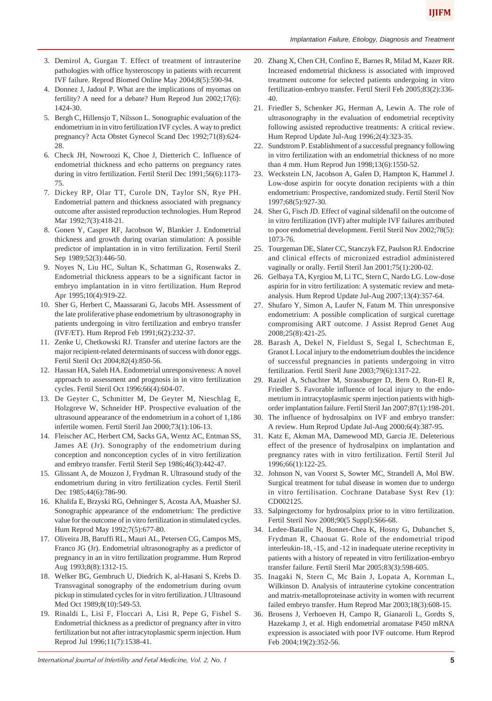- 3. Demirol A, Gurgan T. Effect of treatment of intrauterine pathologies with office hysteroscopy in patients with recurrent IVF failure. Reprod Biomed Online May 2004;8(5):590-94.
- 4. Donnez J, Jadoul P. What are the implications of myomas on fertility? A need for a debate? Hum Reprod Jun 2002;17(6): 1424-30.
- 5. Bergh C, Hillensjo T, Nilsson L. Sonographic evaluation of the endometrium in in vitro fertilization IVF cycles. A way to predict pregnancy? Acta Obstet Gynecol Scand Dec 1992;71(8):624- 28.
- 6. Check JH, Nowroozi K, Choe J, Dietterich C. Influence of endometrial thickness and echo patterns on pregnancy rates during in vitro fertilization. Fertil Steril Dec 1991;56(6):1173- 75.
- 7. Dickey RP, Olar TT, Curole DN, Taylor SN, Rye PH. Endometrial pattern and thickness associated with pregnancy outcome after assisted reproduction technologies. Hum Reprod Mar 1992;7(3):418-21.
- 8. Gonen Y, Casper RF, Jacobson W, Blankier J. Endometrial thickness and growth during ovarian stimulation: A possible predictor of implantation in in vitro fertilization. Fertil Steril Sep 1989;52(3):446-50.
- 9. Noyes N, Liu HC, Sultan K, Schattman G, Rosenwaks Z. Endometrial thickness appears to be a significant factor in embryo implantation in in vitro fertilization. Hum Reprod Apr 1995;10(4):919-22.
- 10. Sher G, Herbert C, Maassarani G, Jacobs MH. Assessment of the late proliferative phase endometrium by ultrasonography in patients undergoing in vitro fertilization and embryo transfer (IVF/ET). Hum Reprod Feb 1991;6(2):232-37.
- 11. Zenke U, Chetkowski RJ. Transfer and uterine factors are the major recipient-related determinants of success with donor eggs. Fertil Steril Oct 2004;82(4):850-56.
- 12. Hassan HA, Saleh HA. Endometrial unresponsiveness: A novel approach to assessment and prognosis in in vitro fertilization cycles. Fertil Steril Oct 1996;66(4):604-07.
- 13. De Geyter C, Schmitter M, De Geyter M, Nieschlag E, Holzgreve W, Schneider HP. Prospective evaluation of the ultrasound appearance of the endometrium in a cohort of 1,186 infertile women. Fertil Steril Jan 2000;73(1):106-13.
- 14. Fleischer AC, Herbert CM, Sacks GA, Wentz AC, Entman SS, James AE (Jr). Sonography of the endometrium during conception and nonconception cycles of in vitro fertilization and embryo transfer. Fertil Steril Sep 1986;46(3):442-47.
- 15. Glissant A, de Mouzon J, Frydman R. Ultrasound study of the endometrium during in vitro fertilization cycles. Fertil Steril Dec 1985;44(6):786-90.
- 16. Khalifa E, Brzyski RG, Oehninger S, Acosta AA, Muasher SJ. Sonographic appearance of the endometrium: The predictive value for the outcome of in vitro fertilization in stimulated cycles. Hum Reprod May 1992;7(5):677-80.
- 17. Oliveira JB, Baruffi RL, Mauri AL, Petersen CG, Campos MS, Franco JG (Jr). Endometrial ultrasonography as a predictor of pregnancy in an in vitro fertilization programme. Hum Reprod Aug 1993;8(8):1312-15.
- 18. Welker BG, Gembruch U, Diedrich K, al-Hasani S, Krebs D. Transvaginal sonography of the endometrium during ovum pickup in stimulated cycles for in vitro fertilization. J Ultrasound Med Oct 1989;8(10):549-53.
- 19. Rinaldi L, Lisi F, Floccari A, Lisi R, Pepe G, Fishel S. Endometrial thickness as a predictor of pregnancy after in vitro fertilization but not after intracytoplasmic sperm injection. Hum Reprod Jul 1996;11(7):1538-41.
- 20. Zhang X, Chen CH, Confino E, Barnes R, Milad M, Kazer RR. Increased endometrial thickness is associated with improved treatment outcome for selected patients undergoing in vitro fertilization-embryo transfer. Fertil Steril Feb 2005;83(2):336- 40.
- 21. Friedler S, Schenker JG, Herman A, Lewin A. The role of ultrasonography in the evaluation of endometrial receptivity following assisted reproductive treatments: A critical review. Hum Reprod Update Jul-Aug 1996;2(4):323-35.
- 22. Sundstrom P. Establishment of a successful pregnancy following in vitro fertilization with an endometrial thickness of no more than 4 mm. Hum Reprod Jun 1998;13(6):1550-52.
- 23. Weckstein LN, Jacobson A, Galen D, Hampton K, Hammel J. Low-dose aspirin for oocyte donation recipients with a thin endometrium: Prospective, randomized study. Fertil Steril Nov 1997;68(5):927-30.
- 24. Sher G, Fisch JD. Effect of vaginal sildenafil on the outcome of in vitro fertilization (IVF) after multiple IVF failures attributed to poor endometrial development. Fertil Steril Nov 2002;78(5): 1073-76.
- 25. Tourgeman DE, Slater CC, Stanczyk FZ, Paulson RJ. Endocrine and clinical effects of micronized estradiol administered vaginally or orally. Fertil Steril Jan 2001;75(1):200-02.
- 26. Gelbaya TA, Kyrgiou M, Li TC, Stern C, Nardo LG. Low-dose aspirin for in vitro fertilization: A systematic review and metaanalysis. Hum Reprod Update Jul-Aug 2007;13(4):357-64.
- 27. Shufaro Y, Simon A, Laufer N, Fatum M. Thin unresponsive endometrium: A possible complication of surgical curettage compromising ART outcome. J Assist Reprod Genet Aug 2008;25(8):421-25.
- 28. Barash A, Dekel N, Fieldust S, Segal I, Schechtman E, Granot I. Local injury to the endometrium doubles the incidence of successful pregnancies in patients undergoing in vitro fertilization. Fertil Steril June 2003;79(6):1317-22.
- 29. Raziel A, Schachter M, Strassburger D, Bern O, Ron-El R, Friedler S. Favorable influence of local injury to the endometrium in intracytoplasmic sperm injection patients with highorder implantation failure. Fertil Steril Jan 2007;87(1):198-201.
- 30. The influence of hydrosalpinx on IVF and embryo transfer: A review. Hum Reprod Update Jul-Aug 2000;6(4):387-95.
- 31. Katz E, Akman MA, Damewood MD, Garcia JE. Deleterious effect of the presence of hydrosalpinx on implantation and pregnancy rates with in vitro fertilization. Fertil Steril Jul 1996;66(1):122-25.
- 32. Johnson N, van Voorst S, Sowter MC, Strandell A, Mol BW. Surgical treatment for tubal disease in women due to undergo in vitro fertilisation. Cochrane Database Syst Rev (1): CD002125.
- 33. Salpingectomy for hydrosalpinx prior to in vitro fertilization. Fertil Steril Nov 2008;90(5 Suppl):S66-68.
- 34. Ledee-Bataille N, Bonnet-Chea K, Hosny G, Dubanchet S, Frydman R, Chaouat G. Role of the endometrial tripod interleukin-18, -15, and -12 in inadequate uterine receptivity in patients with a history of repeated in vitro fertilization-embryo transfer failure. Fertil Steril Mar 2005;83(3):598-605.
- 35. Inagaki N, Stern C, Mc Bain J, Lopata A, Kornman L, Wilkinson D. Analysis of intrauterine cytokine concentration and matrix-metalloproteinase activity in women with recurrent failed embryo transfer. Hum Reprod Mar 2003;18(3):608-15.
- 36. Brosens J, Verhoeven H, Campo R, Gianaroli L, Gordts S, Hazekamp J, et al. High endometrial aromatase P450 mRNA expression is associated with poor IVF outcome. Hum Reprod Feb 2004;19(2):352-56.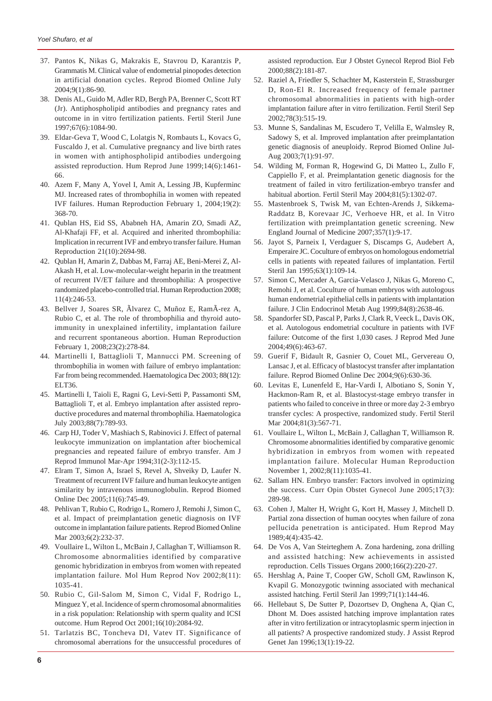- 37. Pantos K, Nikas G, Makrakis E, Stavrou D, Karantzis P, Grammatis M. Clinical value of endometrial pinopodes detection in artificial donation cycles. Reprod Biomed Online July 2004;9(1):86-90.
- 38. Denis AL, Guido M, Adler RD, Bergh PA, Brenner C, Scott RT (Jr). Antiphospholipid antibodies and pregnancy rates and outcome in in vitro fertilization patients. Fertil Steril June 1997;67(6):1084-90.
- 39. Eldar-Geva T, Wood C, Lolatgis N, Rombauts L, Kovacs G, Fuscaldo J, et al. Cumulative pregnancy and live birth rates in women with antiphospholipid antibodies undergoing assisted reproduction. Hum Reprod June 1999;14(6):1461- 66.
- 40. Azem F, Many A, Yovel I, Amit A, Lessing JB, Kupferminc MJ. Increased rates of thrombophilia in women with repeated IVF failures. Human Reproduction February 1, 2004;19(2): 368-70.
- 41. Qublan HS, Eid SS, Ababneh HA, Amarin ZO, Smadi AZ, Al-Khafaji FF, et al. Acquired and inherited thrombophilia: Implication in recurrent IVF and embryo transfer failure. Human Reproduction 21(10):2694-98.
- 42. Qublan H, Amarin Z, Dabbas M, Farraj AE, Beni-Merei Z, Al-Akash H, et al. Low-molecular-weight heparin in the treatment of recurrent IV/ET failure and thrombophilia: A prospective randomized placebo-controlled trial. Human Reproduction 2008; 11(4):246-53.
- 43. Bellver J, Soares SR, Ãlvarez C, Muñoz E, RamÃ-rez A, Rubio C, et al. The role of thrombophilia and thyroid autoimmunity in unexplained infertility, implantation failure and recurrent spontaneous abortion. Human Reproduction February 1, 2008;23(2):278-84.
- 44. Martinelli I, Battaglioli T, Mannucci PM. Screening of thrombophilia in women with failure of embryo implantation: Far from being recommended. Haematologica Dec 2003; 88(12): ELT36.
- 45. Martinelli I, Taioli E, Ragni G, Levi-Setti P, Passamonti SM, Battaglioli T, et al. Embryo implantation after assisted reproductive procedures and maternal thrombophilia. Haematologica July 2003;88(7):789-93.
- 46. Carp HJ, Toder V, Mashiach S, Rabinovici J. Effect of paternal leukocyte immunization on implantation after biochemical pregnancies and repeated failure of embryo transfer. Am J Reprod Immunol Mar-Apr 1994;31(2-3):112-15.
- 47. Elram T, Simon A, Israel S, Revel A, Shveiky D, Laufer N. Treatment of recurrent IVF failure and human leukocyte antigen similarity by intravenous immunoglobulin. Reprod Biomed Online Dec 2005;11(6):745-49.
- 48. Pehlivan T, Rubio C, Rodrigo L, Romero J, Remohi J, Simon C, et al. Impact of preimplantation genetic diagnosis on IVF outcome in implantation failure patients. Reprod Biomed Online Mar 2003;6(2):232-37.
- 49. Voullaire L, Wilton L, McBain J, Callaghan T, Williamson R. Chromosome abnormalities identified by comparative genomic hybridization in embryos from women with repeated implantation failure. Mol Hum Reprod Nov 2002;8(11): 1035-41.
- 50. Rubio C, Gil-Salom M, Simon C, Vidal F, Rodrigo L, Minguez Y, et al. Incidence of sperm chromosomal abnormalities in a risk population: Relationship with sperm quality and ICSI outcome. Hum Reprod Oct 2001;16(10):2084-92.
- 51. Tarlatzis BC, Toncheva DI, Vatev IT. Significance of chromosomal aberrations for the unsuccessful procedures of

assisted reproduction. Eur J Obstet Gynecol Reprod Biol Feb 2000;88(2):181-87.

- 52. Raziel A, Friedler S, Schachter M, Kasterstein E, Strassburger D, Ron-El R. Increased frequency of female partner chromosomal abnormalities in patients with high-order implantation failure after in vitro fertilization. Fertil Steril Sep 2002;78(3):515-19.
- 53. Munne S, Sandalinas M, Escudero T, Velilla E, Walmsley R, Sadowy S, et al. Improved implantation after preimplantation genetic diagnosis of aneuploidy. Reprod Biomed Online Jul-Aug 2003;7(1):91-97.
- 54. Wilding M, Forman R, Hogewind G, Di Matteo L, Zullo F, Cappiello F, et al. Preimplantation genetic diagnosis for the treatment of failed in vitro fertilization-embryo transfer and habitual abortion. Fertil Steril May 2004;81(5):1302-07.
- 55. Mastenbroek S, Twisk M, van Echten-Arends J, Sikkema-Raddatz B, Korevaar JC, Verhoeve HR, et al. In Vitro fertilization with preimplantation genetic screening. New England Journal of Medicine 2007;357(1):9-17.
- 56. Jayot S, Parneix I, Verdaguer S, Discamps G, Audebert A, Emperaire JC. Coculture of embryos on homologous endometrial cells in patients with repeated failures of implantation. Fertil Steril Jan 1995;63(1):109-14.
- 57. Simon C, Mercader A, Garcia-Velasco J, Nikas G, Moreno C, Remohi J, et al. Coculture of human embryos with autologous human endometrial epithelial cells in patients with implantation failure. J Clin Endocrinol Metab Aug 1999;84(8):2638-46.
- 58. Spandorfer SD, Pascal P, Parks J, Clark R, Veeck L, Davis OK, et al. Autologous endometrial coculture in patients with IVF failure: Outcome of the first 1,030 cases. J Reprod Med June 2004;49(6):463-67.
- 59. Guerif F, Bidault R, Gasnier O, Couet ML, Gervereau O, Lansac J, et al. Efficacy of blastocyst transfer after implantation failure. Reprod Biomed Online Dec 2004;9(6):630-36.
- 60. Levitas E, Lunenfeld E, Har-Vardi I, Albotiano S, Sonin Y, Hackmon-Ram R, et al. Blastocyst-stage embryo transfer in patients who failed to conceive in three or more day 2-3 embryo transfer cycles: A prospective, randomized study. Fertil Steril Mar 2004;81(3):567-71.
- 61. Voullaire L, Wilton L, McBain J, Callaghan T, Williamson R. Chromosome abnormalities identified by comparative genomic hybridization in embryos from women with repeated implantation failure. Molecular Human Reproduction November 1, 2002;8(11):1035-41.
- 62. Sallam HN. Embryo transfer: Factors involved in optimizing the success. Curr Opin Obstet Gynecol June 2005;17(3): 289-98.
- 63. Cohen J, Malter H, Wright G, Kort H, Massey J, Mitchell D. Partial zona dissection of human oocytes when failure of zona pellucida penetration is anticipated. Hum Reprod May 1989;4(4):435-42.
- 64. De Vos A, Van Steirteghem A. Zona hardening, zona drilling and assisted hatching: New achievements in assisted reproduction. Cells Tissues Organs 2000;166(2):220-27.
- 65. Hershlag A, Paine T, Cooper GW, Scholl GM, Rawlinson K, Kvapil G. Monozygotic twinning associated with mechanical assisted hatching. Fertil Steril Jan 1999;71(1):144-46.
- 66. Hellebaut S, De Sutter P, Dozortsev D, Onghena A, Qian C, Dhont M. Does assisted hatching improve implantation rates after in vitro fertilization or intracytoplasmic sperm injection in all patients? A prospective randomized study. J Assist Reprod Genet Jan 1996;13(1):19-22.